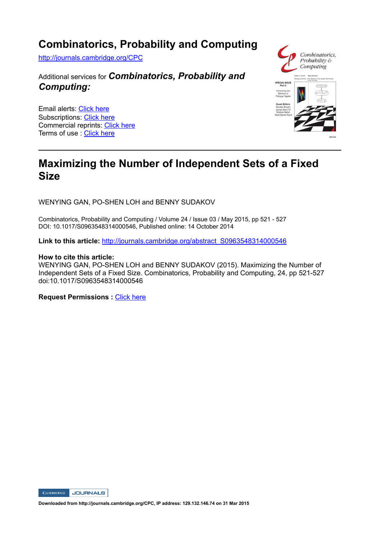## **Combinatorics, Probability and Computing**

http://journals.cambridge.org/CPC

### Additional services for *Combinatorics, Probability and Computing:*

Email alerts: Click here Subscriptions: Click here Commercial reprints: Click here Terms of use : Click here



## **Maximizing the Number of Independent Sets of a Fixed Size**

WENYING GAN, PO-SHEN LOH and BENNY SUDAKOV

Combinatorics, Probability and Computing / Volume 24 / Issue 03 / May 2015, pp 521 - 527 DOI: 10.1017/S0963548314000546, Published online: 14 October 2014

**Link to this article:** http://journals.cambridge.org/abstract\_S0963548314000546

#### **How to cite this article:**

WENYING GAN, PO-SHEN LOH and BENNY SUDAKOV (2015). Maximizing the Number of Independent Sets of a Fixed Size. Combinatorics, Probability and Computing, 24, pp 521-527 doi:10.1017/S0963548314000546

**Request Permissions :** Click here



**Downloaded from http://journals.cambridge.org/CPC, IP address: 129.132.146.74 on 31 Mar 2015**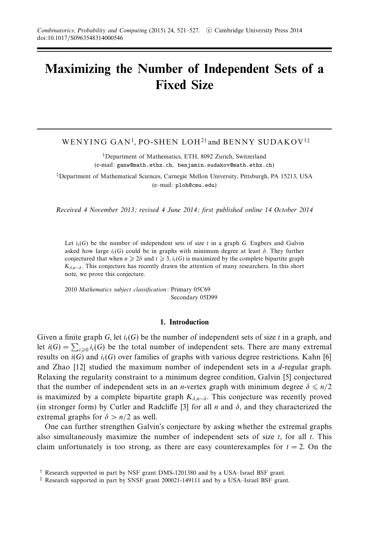# **Maximizing the Number of Independent Sets of a Fixed Size**

WENYING GAN<sup>1</sup>, PO-SHEN LOH<sup>2†</sup> and BENNY SUDAKOV<sup>1‡</sup>

<sup>1</sup>Department of Mathematics, ETH, 8092 Zurich, Switzerland (e-mail: ganw@math.ethz.ch, benjamin.sudakov@math.ethz.ch)

2Department of Mathematical Sciences, Carnegie Mellon University, Pittsburgh, PA 15213, USA (e–mail: ploh@cmu.edu)

Received 4 November 2013; revised 4 June 2014; first published online 14 October 2014

Let  $i_t(G)$  be the number of independent sets of size  $t$  in a graph  $G$ . Engbers and Galvin asked how large  $i_t(G)$  could be in graphs with minimum degree at least  $\delta$ . They further conjectured that when  $n \ge 2\delta$  and  $t \ge 3$ ,  $i_t(G)$  is maximized by the complete bipartite graph  $K_{\delta,n-\delta}$ . This conjecture has recently drawn the attention of many researchers. In this short note, we prove this conjecture.

2010 Mathematics subject classification: Primary 05C69 Secondary 05D99

#### **1. Introduction**

Given a finite graph *G*, let  $i_t(G)$  be the number of independent sets of size *t* in a graph, and let  $i(G) = \sum_{t \geq 0} i_t(G)$  be the total number of independent sets. There are many extremal results on  $i(G)$  and  $i<sub>t</sub>(G)$  over families of graphs with various degree restrictions. Kahn [6] and Zhao [12] studied the maximum number of independent sets in a *d*-regular graph. Relaxing the regularity constraint to a minimum degree condition, Galvin [5] conjectured that the number of independent sets in an *n*-vertex graph with minimum degree  $\delta \leq n/2$ is maximized by a complete bipartite graph  $K_{\delta,n-\delta}$ . This conjecture was recently proved (in stronger form) by Cutler and Radcliffe [3] for all *n* and  $\delta$ , and they characterized the extremal graphs for  $\delta > n/2$  as well.

One can further strengthen Galvin's conjecture by asking whether the extremal graphs also simultaneously maximize the number of independent sets of size *t*, for all *t*. This claim unfortunately is too strong, as there are easy counterexamples for  $t = 2$ . On the

<sup>†</sup> Research supported in part by NSF grant DMS-1201380 and by a USA–Israel BSF grant.

<sup>‡</sup> Research supported in part by SNSF grant 200021-149111 and by a USA–Israel BSF grant.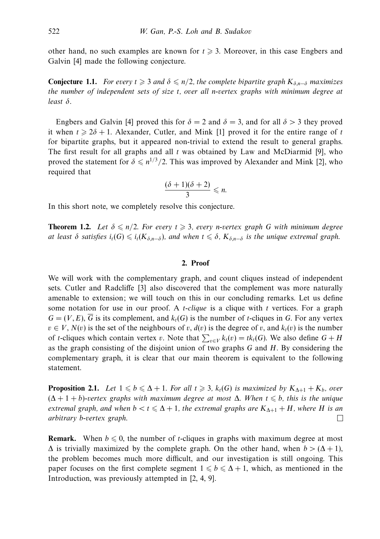other hand, no such examples are known for  $t \geq 3$ . Moreover, in this case Engbers and Galvin [4] made the following conjecture.

**Conjecture 1.1.** For every  $t \ge 3$  and  $\delta \le n/2$ , the complete bipartite graph  $K_{\delta,n-\delta}$  maximizes the number of independent sets of size *t*, over all *n*-vertex graphs with minimum degree at least *δ*.

Engbers and Galvin [4] proved this for  $\delta = 2$  and  $\delta = 3$ , and for all  $\delta > 3$  they proved it when  $t \ge 2\delta + 1$ . Alexander, Cutler, and Mink [1] proved it for the entire range of *t* for bipartite graphs, but it appeared non-trivial to extend the result to general graphs. The first result for all graphs and all *t* was obtained by Law and McDiarmid [9], who proved the statement for  $\delta \leq n^{1/3}/2$ . This was improved by Alexander and Mink [2], who required that

$$
\frac{(\delta+1)(\delta+2)}{3} \leq n.
$$

In this short note, we completely resolve this conjecture.

**Theorem 1.2.** Let  $\delta \leq n/2$ . For every  $t \geq 3$ , every *n*-vertex graph *G* with minimum degree at least  $\delta$  satisfies  $i_t(G) \leqslant i_t(K_{\delta,n-\delta})$ , and when  $t \leqslant \delta$ ,  $K_{\delta,n-\delta}$  is the unique extremal graph.

#### **2. Proof**

We will work with the complementary graph, and count cliques instead of independent sets. Cutler and Radcliffe [3] also discovered that the complement was more naturally amenable to extension; we will touch on this in our concluding remarks. Let us define some notation for use in our proof. A *t*-clique is a clique with *t* vertices. For a graph  $G = (V, E)$ , *G* is its complement, and  $k<sub>t</sub>(G)$  is the number of *t*-cliques in *G*. For any vertex  $v \in V$ ,  $N(v)$  is the set of the neighbours of *v*,  $d(v)$  is the degree of *v*, and  $k<sub>t</sub>(v)$  is the number of *t*-cliques which contain vertex *v*. Note that  $\sum_{v \in V} k_t(v) = tk_t(G)$ . We also define  $G + H$ as the graph consisting of the disjoint union of two graphs *G* and *H*. By considering the complementary graph, it is clear that our main theorem is equivalent to the following statement.

**Proposition 2.1.** Let  $1 \leq b \leq \Delta + 1$ . For all  $t \geq 3$ ,  $k_t(G)$  is maximized by  $K_{\Delta+1} + K_b$ , over  $(\Delta + 1 + b)$ -vertex graphs with maximum degree at most  $\Delta$ . When  $t \leqslant b$ , this is the unique extremal graph, and when  $b < t \leq \Delta + 1$ , the extremal graphs are  $K_{\Delta+1} + H$ , where *H* is an arbitrary *b*-vertex graph.  $\Box$ 

**Remark.** When  $b \le 0$ , the number of *t*-cliques in graphs with maximum degree at most  $\Delta$  is trivially maximized by the complete graph. On the other hand, when  $b > (\Delta + 1)$ , the problem becomes much more difficult, and our investigation is still ongoing. This paper focuses on the first complete segment  $1 \leq b \leq \Delta + 1$ , which, as mentioned in the Introduction, was previously attempted in [2, 4, 9].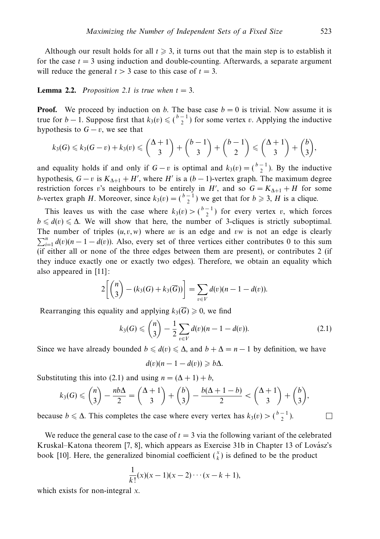Although our result holds for all  $t \ge 3$ , it turns out that the main step is to establish it for the case  $t = 3$  using induction and double-counting. Afterwards, a separate argument will reduce the general  $t > 3$  case to this case of  $t = 3$ .

#### **Lemma 2.2.** Proposition 2.1 is true when  $t = 3$ .

**Proof.** We proceed by induction on *b*. The base case  $b = 0$  is trivial. Now assume it is true for *b* − 1. Suppose first that  $k_3(v) \leq {b-1 \choose 2}$  for some vertex *v*. Applying the inductive hypothesis to  $G - v$ , we see that

$$
k_3(G) \leq k_3(G-v)+k_3(v) \leq {\lambda+1 \choose 3}+{b-1 \choose 3}+{b-1 \choose 2} \leq {\lambda+1 \choose 3}+{b \choose 3},
$$

and equality holds if and only if  $G - v$  is optimal and  $k_3(v) = \binom{b-1}{2}$ . By the inductive hypothesis,  $G - v$  is  $K_{\Delta+1} + H'$ , where *H'* is a  $(b - 1)$ -vertex graph. The maximum degree restriction forces *v*'s neighbours to be entirely in *H'*, and so  $G = K_{\Delta+1} + H$  for some *b*-vertex graph *H*. Moreover, since  $k_3(v) = \binom{b-1}{2}$  we get that for  $b \ge 3$ , *H* is a clique.

This leaves us with the case where  $k_3(v) > \binom{b-1}{2}$  for every vertex *v*, which forces  $b \leq d(v) \leq \Delta$ . We will show that here, the number of 3-cliques is strictly suboptimal. The number of triples  $(u, v, w)$  where *uv* is an edge and *vw* is not an edge is clearly  $\sum_{i=1}^{n} d(v)(n-1-d(v))$ . Also, every set of three vertices either contributes 0 to this sum (if either all or none of the three edges between them are present), or contributes 2 (if they induce exactly one or exactly two edges). Therefore, we obtain an equality which also appeared in [11]:

$$
2\left[\binom{n}{3}-(k_3(G)+k_3(\overline{G}))\right]=\sum_{v\in V}d(v)(n-1-d(v)).
$$

Rearranging this equality and applying  $k_3(\overline{G}) \geq 0$ , we find

$$
k_3(G) \leqslant {n \choose 3} - \frac{1}{2} \sum_{v \in V} d(v)(n - 1 - d(v)).
$$
\n(2.1)

Since we have already bounded  $b \le d(v) \le \Delta$ , and  $b + \Delta = n - 1$  by definition, we have

$$
d(v)(n-1-d(v)) \geq b\Delta.
$$

Substituting this into (2.1) and using  $n = (\Delta + 1) + b$ ,

$$
k_3(G) \leqslant {n \choose 3} - \frac{nb\Delta}{2} = {\Delta + 1 \choose 3} + {b \choose 3} - \frac{b(\Delta + 1 - b)}{2} < {\Delta + 1 \choose 3} + {b \choose 3},
$$

because *b* ≤ Δ. This completes the case where every vertex has  $k_3(v) > \binom{b-1}{2}$ .

We reduce the general case to the case of  $t = 3$  via the following variant of the celebrated Kruskal–Katona theorem  $[7, 8]$ , which appears as Exercise 31b in Chapter 13 of Lovász's book [10]. Here, the generalized binomial coefficient  $\binom{x}{k}$  is defined to be the product

$$
\frac{1}{k!}(x)(x-1)(x-2)\cdots(x-k+1),
$$

which exists for non-integral *x*.

 $\Box$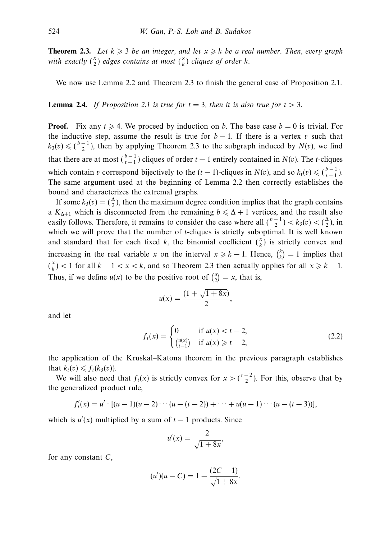**Theorem 2.3.** Let  $k \ge 3$  be an integer, and let  $x \ge k$  be a real number. Then, every graph with exactly  $\binom{x}{2}$  edges contains at most  $\binom{x}{k}$  cliques of order *k*.

We now use Lemma 2.2 and Theorem 2.3 to finish the general case of Proposition 2.1.

**Lemma 2.4.** If Proposition 2.1 is true for  $t = 3$ , then it is also true for  $t > 3$ .

**Proof.** Fix any  $t \ge 4$ . We proceed by induction on *b*. The base case  $b = 0$  is trivial. For the inductive step, assume the result is true for  $b - 1$ . If there is a vertex *v* such that  $k_3(v) \leq (b-1)$ , then by applying Theorem 2.3 to the subgraph induced by *N*(*v*), we find that there are at most  $\binom{b-1}{t-1}$  cliques of order  $t-1$  entirely contained in  $N(v)$ . The *t*-cliques which contain *v* correspond bijectively to the  $(t - 1)$ -cliques in  $N(v)$ , and so  $k_t(v) \leq \binom{b-1}{t-1}$ . The same argument used at the beginning of Lemma 2.2 then correctly establishes the bound and characterizes the extremal graphs.

If some  $k_3(v) = \binom{\Delta}{2}$ , then the maximum degree condition implies that the graph contains a  $K_{\Delta+1}$  which is disconnected from the remaining  $b \leq \Delta + 1$  vertices, and the result also easily follows. Therefore, it remains to consider the case where all  $\binom{b-1}{2} < k_3(v) < \binom{\Delta}{2}$ , in which we will prove that the number of *t*-cliques is strictly suboptimal. It is well known and standard that for each fixed *k*, the binomial coefficient  $\binom{x}{k}$  is strictly convex and increasing in the real variable *x* on the interval  $x \ge k - 1$ . Hence,  $\binom{k}{k} = 1$  implies that  $\binom{x}{k}$  < 1 for all  $k - 1 < x < k$ , and so Theorem 2.3 then actually applies for all  $x \ge k - 1$ . Thus, if we define  $u(x)$  to be the positive root of  $\binom{u}{2} = x$ , that is,

$$
u(x) = \frac{(1 + \sqrt{1 + 8x})}{2},
$$

and let

$$
f_t(x) = \begin{cases} 0 & \text{if } u(x) < t - 2, \\ {u(x) \choose t - 1} & \text{if } u(x) \geq t - 2, \end{cases}
$$
 (2.2)

the application of the Kruskal–Katona theorem in the previous paragraph establishes that  $k_t(v) \leq f_t(k_3(v))$ .

We will also need that  $f_t(x)$  is strictly convex for  $x > \binom{t-2}{2}$ . For this, observe that by the generalized product rule,

$$
f'_{t}(x) = u' \cdot [(u-1)(u-2)\cdots(u-(t-2)) + \cdots + u(u-1)\cdots(u-(t-3))],
$$

which is  $u'(x)$  multiplied by a sum of  $t-1$  products. Since

$$
u'(x) = \frac{2}{\sqrt{1+8x}},
$$

for any constant *C*,

$$
(u')(u - C) = 1 - \frac{(2C - 1)}{\sqrt{1 + 8x}}.
$$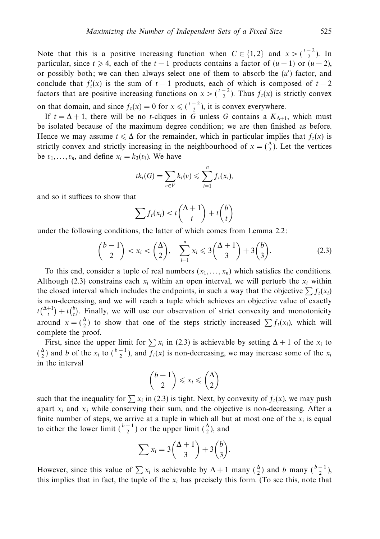Note that this is a positive increasing function when  $C \in \{1, 2\}$  and  $x > \binom{t-2}{2}$ . In particular, since  $t \ge 4$ , each of the  $t - 1$  products contains a factor of  $(u - 1)$  or  $(u - 2)$ , or possibly both; we can then always select one of them to absorb the (*u* ) factor, and conclude that  $f'_t(x)$  is the sum of  $t-1$  products, each of which is composed of  $t-2$ factors that are positive increasing functions on  $x > \binom{t-2}{2}$ . Thus  $f_t(x)$  is strictly convex on that domain, and since  $f_t(x) = 0$  for  $x \leqslant \left(\frac{t-2}{2}\right)$ , it is convex everywhere.

If  $t = \Delta + 1$ , there will be no *t*-cliques in *G* unless *G* contains a  $K_{\Delta+1}$ , which must be isolated because of the maximum degree condition; we are then finished as before. Hence we may assume  $t \leq \Delta$  for the remainder, which in particular implies that  $f_t(x)$  is strictly convex and strictly increasing in the neighbourhood of  $x = \begin{pmatrix} 4 \\ 2 \end{pmatrix}$ . Let the vertices be  $v_1, \ldots, v_n$ , and define  $x_i = k_3(v_i)$ . We have

$$
tk_t(G) = \sum_{v \in V} k_t(v) \leqslant \sum_{i=1}^n f_t(x_i),
$$

and so it suffices to show that

$$
\sum f_t(x_i) < t\binom{\Delta+1}{t} + t\binom{b}{t}
$$

under the following conditions, the latter of which comes from Lemma 2.2:

$$
\binom{b-1}{2} < x_i < \binom{\Delta}{2}, \quad \sum_{i=1}^n x_i \leqslant 3\binom{\Delta+1}{3} + 3\binom{b}{3}.\tag{2.3}
$$

To this end, consider a tuple of real numbers  $(x_1, \ldots, x_n)$  which satisfies the conditions. Although (2.3) constrains each  $x_i$  within an open interval, we will perturb the  $x_i$  within the closed interval which includes the endpoints, in such a way that the objective  $\sum f_i(x_i)$ is non-decreasing, and we will reach a tuple which achieves an objective value of exactly  $t\binom{\Delta+1}{t} + t\binom{b}{t}$ . Finally, we will use our observation of strict convexity and monotonicity around  $x = \begin{pmatrix} 2 \\ 2 \end{pmatrix}$  to show that one of the steps strictly increased  $\sum f_i(x_i)$ , which will complete the proof.

First, since the upper limit for  $\sum x_i$  in (2.3) is achievable by setting  $\Delta + 1$  of the  $x_i$  to  $\binom{\Delta}{2}$  and *b* of the *x<sub>i</sub>* to  $\binom{b-1}{2}$ , and  $f_t(x)$  is non-decreasing, we may increase some of the *x<sub>i</sub>* in the interval

$$
\binom{b-1}{2} \leqslant x_i \leqslant \binom{\Delta}{2}
$$

such that the inequality for  $\sum x_i$  in (2.3) is tight. Next, by convexity of  $f_t(x)$ , we may push apart  $x_i$  and  $x_j$  while conserving their sum, and the objective is non-decreasing. After a finite number of steps, we arrive at a tuple in which all but at most one of the  $x_i$  is equal to either the lower limit  $\binom{b-1}{2}$  or the upper limit  $\binom{\Delta}{2}$ , and

$$
\sum x_i = 3\binom{\Delta+1}{3} + 3\binom{b}{3}.
$$

However, since this value of  $\sum x_i$  is achievable by  $\Delta + 1$  many  $\binom{\Delta}{2}$  and *b* many  $\binom{b-1}{2}$ , this implies that in fact, the tuple of the  $x_i$  has precisely this form. (To see this, note that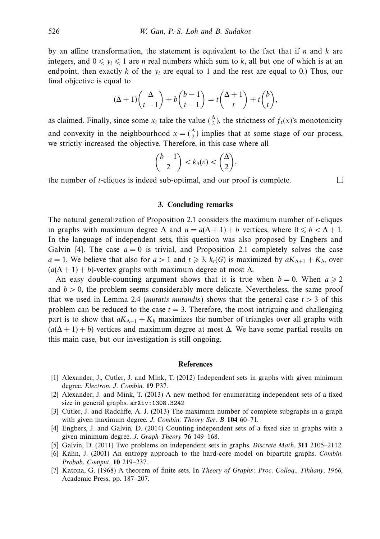by an affine transformation, the statement is equivalent to the fact that if *n* and *k* are integers, and  $0 \leq y_i \leq 1$  are *n* real numbers which sum to *k*, all but one of which is at an endpoint, then exactly *k* of the *yi* are equal to 1 and the rest are equal to 0.) Thus, our final objective is equal to

$$
(\Delta + 1)\binom{\Delta}{t-1} + b\binom{b-1}{t-1} = t\binom{\Delta + 1}{t} + t\binom{b}{t},
$$

as claimed. Finally, since some  $x_i$  take the value  $\binom{\Delta}{2}$ , the strictness of  $f_t(x)$ 's monotonicity and convexity in the neighbourhood  $x = \begin{pmatrix} 4 \\ 2 \end{pmatrix}$  implies that at some stage of our process, we strictly increased the objective. Therefore, in this case where all

$$
\binom{b-1}{2} < k_3(v) < \binom{\Delta}{2},
$$

the number of *t*-cliques is indeed sub-optimal, and our proof is complete.

#### **3. Concluding remarks**

The natural generalization of Proposition 2.1 considers the maximum number of *t*-cliques in graphs with maximum degree  $\Delta$  and  $n = a(\Delta + 1) + b$  vertices, where  $0 \le b < \Delta + 1$ . In the language of independent sets, this question was also proposed by Engbers and Galvin [4]. The case  $a = 0$  is trivial, and Proposition 2.1 completely solves the case *a* = 1. We believe that also for *a* > 1 and  $t \ge 3$ ,  $k_t(G)$  is maximized by  $aK_{\Delta+1} + K_b$ , over  $(a(\Delta + 1) + b)$ -vertex graphs with maximum degree at most  $\Delta$ .

An easy double-counting argument shows that it is true when  $b = 0$ . When  $a \ge 2$ and  $b > 0$ , the problem seems considerably more delicate. Nevertheless, the same proof that we used in Lemma 2.4 (*mutatis mutandis*) shows that the general case  $t > 3$  of this problem can be reduced to the case  $t = 3$ . Therefore, the most intriguing and challenging part is to show that  $aK_{\Delta+1} + K_b$  maximizes the number of triangles over all graphs with  $(a(\Delta + 1) + b)$  vertices and maximum degree at most  $\Delta$ . We have some partial results on this main case, but our investigation is still ongoing.

#### **References**

- [1] Alexander, J., Cutler, J. and Mink, T. (2012) Independent sets in graphs with given minimum degree. Electron. J. Combin. **19** P37.
- [2] Alexander, J. and Mink, T. (2013) A new method for enumerating independent sets of a fixed size in general graphs. arXiv:1308.3242
- [3] Cutler, J. and Radcliffe, A. J. (2013) The maximum number of complete subgraphs in a graph with given maximum degree. J. Combin. Theory Ser. B **104** 60–71.
- [4] Engbers, J. and Galvin, D. (2014) Counting independent sets of a fixed size in graphs with a given minimum degree. J. Graph Theory **76** 149–168.
- [5] Galvin, D. (2011) Two problems on independent sets in graphs. Discrete Math. **311** 2105–2112.
- [6] Kahn, J. (2001) An entropy approach to the hard-core model on bipartite graphs. Combin. Probab. Comput. **10** 219–237.
- [7] Katona, G. (1968) A theorem of finite sets. In Theory of Graphs: Proc. Colloq., Tihhany, 1966, Academic Press, pp. 187–207.

 $\Box$